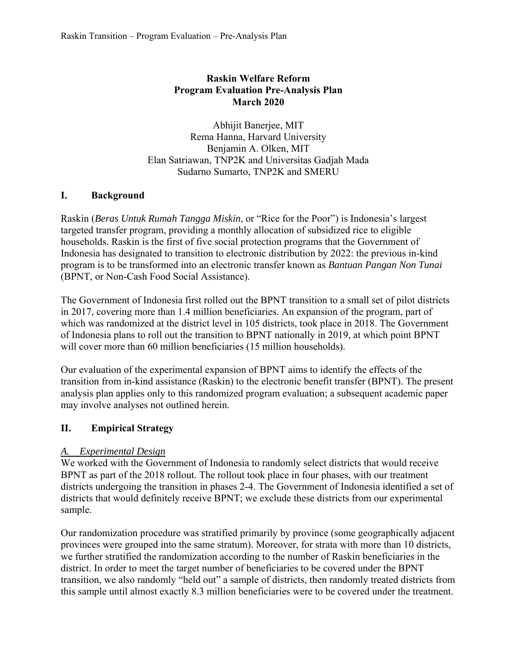### **Raskin Welfare Reform Program Evaluation Pre-Analysis Plan March 2020**

Abhijit Banerjee, MIT Rema Hanna, Harvard University Benjamin A. Olken, MIT Elan Satriawan, TNP2K and Universitas Gadjah Mada Sudarno Sumarto, TNP2K and SMERU

### **I. Background**

Raskin (*Beras Untuk Rumah Tangga Miskin*, or "Rice for the Poor") is Indonesia's largest targeted transfer program, providing a monthly allocation of subsidized rice to eligible households. Raskin is the first of five social protection programs that the Government of Indonesia has designated to transition to electronic distribution by 2022: the previous in-kind program is to be transformed into an electronic transfer known as *Bantuan Pangan Non Tunai* (BPNT, or Non-Cash Food Social Assistance).

The Government of Indonesia first rolled out the BPNT transition to a small set of pilot districts in 2017, covering more than 1.4 million beneficiaries. An expansion of the program, part of which was randomized at the district level in 105 districts, took place in 2018. The Government of Indonesia plans to roll out the transition to BPNT nationally in 2019, at which point BPNT will cover more than 60 million beneficiaries (15 million households).

Our evaluation of the experimental expansion of BPNT aims to identify the effects of the transition from in-kind assistance (Raskin) to the electronic benefit transfer (BPNT). The present analysis plan applies only to this randomized program evaluation; a subsequent academic paper may involve analyses not outlined herein.

# **II. Empirical Strategy**

#### *A. Experimental Design*

We worked with the Government of Indonesia to randomly select districts that would receive BPNT as part of the 2018 rollout. The rollout took place in four phases, with our treatment districts undergoing the transition in phases 2-4. The Government of Indonesia identified a set of districts that would definitely receive BPNT; we exclude these districts from our experimental sample.

Our randomization procedure was stratified primarily by province (some geographically adjacent provinces were grouped into the same stratum). Moreover, for strata with more than 10 districts, we further stratified the randomization according to the number of Raskin beneficiaries in the district. In order to meet the target number of beneficiaries to be covered under the BPNT transition, we also randomly "held out" a sample of districts, then randomly treated districts from this sample until almost exactly 8.3 million beneficiaries were to be covered under the treatment.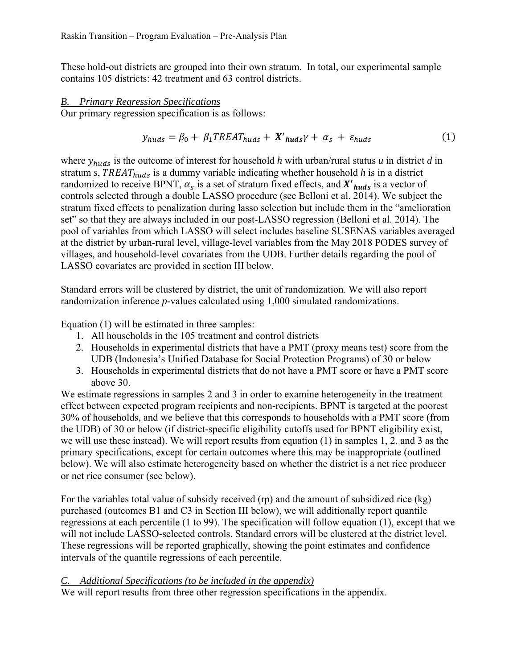These hold-out districts are grouped into their own stratum. In total, our experimental sample contains 105 districts: 42 treatment and 63 control districts.

#### *B. Primary Regression Specifications*

Our primary regression specification is as follows:

$$
y_{huds} = \beta_0 + \beta_1 T REAL_{huds} + X'_{huds} \gamma + \alpha_s + \varepsilon_{huds}
$$
 (1)

where  $y_{huds}$  is the outcome of interest for household *h* with urban/rural status *u* in district *d* in stratum  $s$ ,  $TREAT_{huds}$  is a dummy variable indicating whether household  $h$  is in a district randomized to receive BPNT,  $\alpha_s$  is a set of stratum fixed effects, and  $X'_{huds}$  is a vector of controls selected through a double LASSO procedure (see Belloni et al. 2014). We subject the stratum fixed effects to penalization during lasso selection but include them in the "amelioration set" so that they are always included in our post-LASSO regression (Belloni et al. 2014). The pool of variables from which LASSO will select includes baseline SUSENAS variables averaged at the district by urban-rural level, village-level variables from the May 2018 PODES survey of villages, and household-level covariates from the UDB. Further details regarding the pool of LASSO covariates are provided in section III below.

Standard errors will be clustered by district, the unit of randomization. We will also report randomization inference *p*-values calculated using 1,000 simulated randomizations.

Equation (1) will be estimated in three samples:

- 1. All households in the 105 treatment and control districts
- 2. Households in experimental districts that have a PMT (proxy means test) score from the UDB (Indonesia's Unified Database for Social Protection Programs) of 30 or below
- 3. Households in experimental districts that do not have a PMT score or have a PMT score above 30.

We estimate regressions in samples 2 and 3 in order to examine heterogeneity in the treatment effect between expected program recipients and non-recipients. BPNT is targeted at the poorest 30% of households, and we believe that this corresponds to households with a PMT score (from the UDB) of 30 or below (if district-specific eligibility cutoffs used for BPNT eligibility exist, we will use these instead). We will report results from equation (1) in samples 1, 2, and 3 as the primary specifications, except for certain outcomes where this may be inappropriate (outlined below). We will also estimate heterogeneity based on whether the district is a net rice producer or net rice consumer (see below).

For the variables total value of subsidy received (rp) and the amount of subsidized rice (kg) purchased (outcomes B1 and C3 in Section III below), we will additionally report quantile regressions at each percentile (1 to 99). The specification will follow equation (1), except that we will not include LASSO-selected controls. Standard errors will be clustered at the district level. These regressions will be reported graphically, showing the point estimates and confidence intervals of the quantile regressions of each percentile.

#### *C. Additional Specifications (to be included in the appendix)*

We will report results from three other regression specifications in the appendix.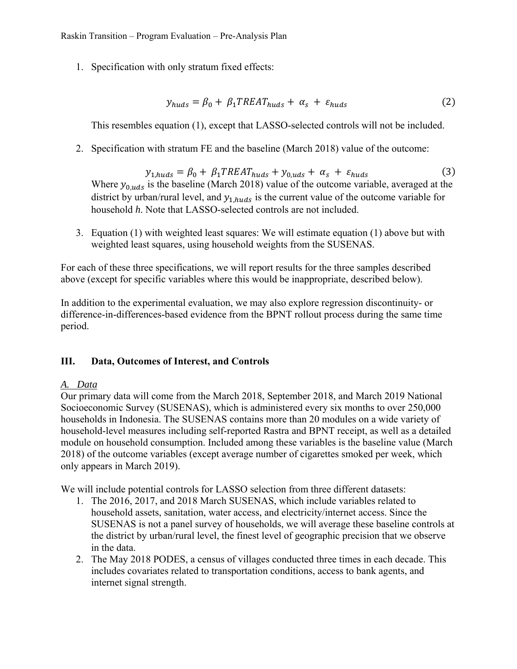1. Specification with only stratum fixed effects:

$$
y_{huds} = \beta_0 + \beta_1 T REAL_{huds} + \alpha_s + \varepsilon_{huds} \tag{2}
$$

This resembles equation (1), except that LASSO-selected controls will not be included.

2. Specification with stratum FE and the baseline (March 2018) value of the outcome:

 $y_{1, huds} = \beta_0 + \beta_1 T REAL_{huds} + y_{0,uds} + \alpha_s + \varepsilon_{huds}$  (3) Where  $y_{0,uds}$  is the baseline (March 2018) value of the outcome variable, averaged at the district by urban/rural level, and  $y_{1, huds}$  is the current value of the outcome variable for household *h*. Note that LASSO-selected controls are not included.

3. Equation (1) with weighted least squares: We will estimate equation (1) above but with weighted least squares, using household weights from the SUSENAS.

For each of these three specifications, we will report results for the three samples described above (except for specific variables where this would be inappropriate, described below).

In addition to the experimental evaluation, we may also explore regression discontinuity- or difference-in-differences-based evidence from the BPNT rollout process during the same time period.

#### **III. Data, Outcomes of Interest, and Controls**

#### *A. Data*

Our primary data will come from the March 2018, September 2018, and March 2019 National Socioeconomic Survey (SUSENAS), which is administered every six months to over 250,000 households in Indonesia. The SUSENAS contains more than 20 modules on a wide variety of household-level measures including self-reported Rastra and BPNT receipt, as well as a detailed module on household consumption. Included among these variables is the baseline value (March 2018) of the outcome variables (except average number of cigarettes smoked per week, which only appears in March 2019).

We will include potential controls for LASSO selection from three different datasets:

- 1. The 2016, 2017, and 2018 March SUSENAS, which include variables related to household assets, sanitation, water access, and electricity/internet access. Since the SUSENAS is not a panel survey of households, we will average these baseline controls at the district by urban/rural level, the finest level of geographic precision that we observe in the data.
- 2. The May 2018 PODES, a census of villages conducted three times in each decade. This includes covariates related to transportation conditions, access to bank agents, and internet signal strength.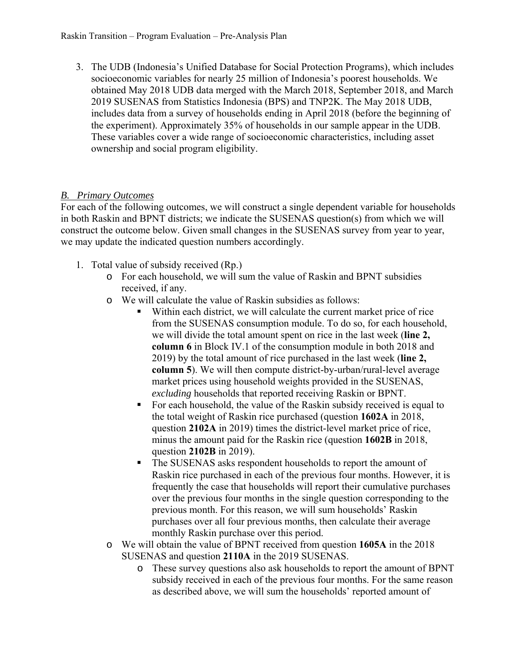3. The UDB (Indonesia's Unified Database for Social Protection Programs), which includes socioeconomic variables for nearly 25 million of Indonesia's poorest households. We obtained May 2018 UDB data merged with the March 2018, September 2018, and March 2019 SUSENAS from Statistics Indonesia (BPS) and TNP2K. The May 2018 UDB, includes data from a survey of households ending in April 2018 (before the beginning of the experiment). Approximately 35% of households in our sample appear in the UDB. These variables cover a wide range of socioeconomic characteristics, including asset ownership and social program eligibility.

# *B. Primary Outcomes*

For each of the following outcomes, we will construct a single dependent variable for households in both Raskin and BPNT districts; we indicate the SUSENAS question(s) from which we will construct the outcome below. Given small changes in the SUSENAS survey from year to year, we may update the indicated question numbers accordingly.

- 1. Total value of subsidy received (Rp.)
	- o For each household, we will sum the value of Raskin and BPNT subsidies received, if any.
	- o We will calculate the value of Raskin subsidies as follows:
		- Within each district, we will calculate the current market price of rice from the SUSENAS consumption module. To do so, for each household, we will divide the total amount spent on rice in the last week (**line 2, column 6** in Block IV.1 of the consumption module in both 2018 and 2019) by the total amount of rice purchased in the last week (**line 2, column 5**). We will then compute district-by-urban/rural-level average market prices using household weights provided in the SUSENAS, *excluding* households that reported receiving Raskin or BPNT.
		- For each household, the value of the Raskin subsidy received is equal to the total weight of Raskin rice purchased (question **1602A** in 2018, question **2102A** in 2019) times the district-level market price of rice, minus the amount paid for the Raskin rice (question **1602B** in 2018, question **2102B** in 2019).
		- The SUSENAS asks respondent households to report the amount of Raskin rice purchased in each of the previous four months. However, it is frequently the case that households will report their cumulative purchases over the previous four months in the single question corresponding to the previous month. For this reason, we will sum households' Raskin purchases over all four previous months, then calculate their average monthly Raskin purchase over this period.
	- o We will obtain the value of BPNT received from question **1605A** in the 2018 SUSENAS and question **2110A** in the 2019 SUSENAS.
		- o These survey questions also ask households to report the amount of BPNT subsidy received in each of the previous four months. For the same reason as described above, we will sum the households' reported amount of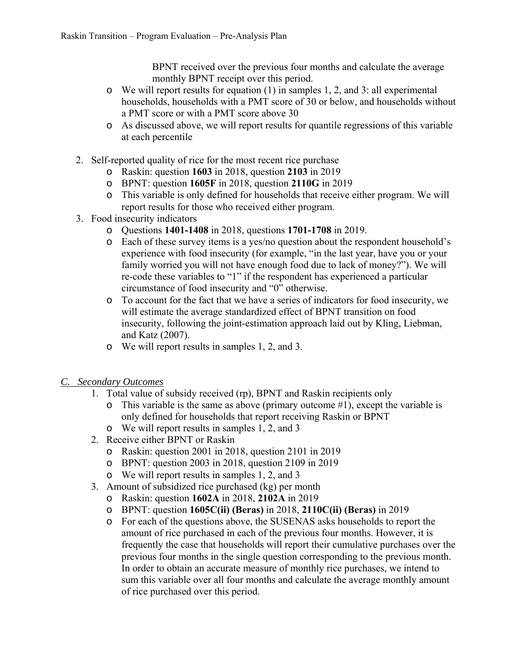BPNT received over the previous four months and calculate the average monthly BPNT receipt over this period.

- o We will report results for equation (1) in samples 1, 2, and 3: all experimental households, households with a PMT score of 30 or below, and households without a PMT score or with a PMT score above 30
- o As discussed above, we will report results for quantile regressions of this variable at each percentile
- 2. Self-reported quality of rice for the most recent rice purchase
	- o Raskin: question **1603** in 2018, question **2103** in 2019
	- o BPNT: question **1605F** in 2018, question **2110G** in 2019
	- o This variable is only defined for households that receive either program. We will report results for those who received either program.
- 3. Food insecurity indicators
	- o Questions **1401-1408** in 2018, questions **1701-1708** in 2019.
	- o Each of these survey items is a yes/no question about the respondent household's experience with food insecurity (for example, "in the last year, have you or your family worried you will not have enough food due to lack of money?"). We will re-code these variables to "1" if the respondent has experienced a particular circumstance of food insecurity and "0" otherwise.
	- o To account for the fact that we have a series of indicators for food insecurity, we will estimate the average standardized effect of BPNT transition on food insecurity, following the joint-estimation approach laid out by Kling, Liebman, and Katz (2007).
	- o We will report results in samples 1, 2, and 3.
- *C. Secondary Outcomes* 
	- 1. Total value of subsidy received (rp), BPNT and Raskin recipients only
		- $\circ$  This variable is the same as above (primary outcome #1), except the variable is only defined for households that report receiving Raskin or BPNT
		- o We will report results in samples 1, 2, and 3
	- 2. Receive either BPNT or Raskin
		- o Raskin: question 2001 in 2018, question 2101 in 2019
		- o BPNT: question 2003 in 2018, question 2109 in 2019
		- o We will report results in samples 1, 2, and 3
	- 3. Amount of subsidized rice purchased (kg) per month
		- o Raskin: question **1602A** in 2018, **2102A** in 2019
		- o BPNT: question **1605C(ii) (Beras)** in 2018, **2110C(ii) (Beras)** in 2019
		- o For each of the questions above, the SUSENAS asks households to report the amount of rice purchased in each of the previous four months. However, it is frequently the case that households will report their cumulative purchases over the previous four months in the single question corresponding to the previous month. In order to obtain an accurate measure of monthly rice purchases, we intend to sum this variable over all four months and calculate the average monthly amount of rice purchased over this period.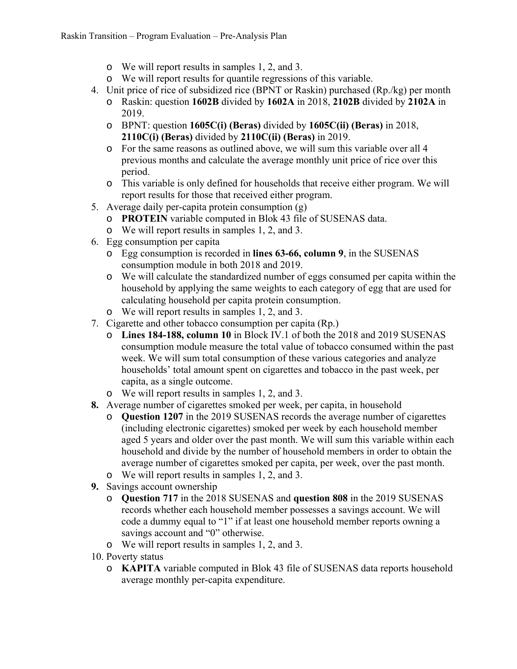- o We will report results in samples 1, 2, and 3.
- o We will report results for quantile regressions of this variable.
- 4. Unit price of rice of subsidized rice (BPNT or Raskin) purchased (Rp./kg) per month
	- o Raskin: question **1602B** divided by **1602A** in 2018, **2102B** divided by **2102A** in 2019.
	- o BPNT: question **1605C(i) (Beras)** divided by **1605C(ii) (Beras)** in 2018, **2110C(i) (Beras)** divided by **2110C(ii) (Beras)** in 2019.
	- o For the same reasons as outlined above, we will sum this variable over all 4 previous months and calculate the average monthly unit price of rice over this period.
	- o This variable is only defined for households that receive either program. We will report results for those that received either program.
- 5. Average daily per-capita protein consumption (g)
	- o **PROTEIN** variable computed in Blok 43 file of SUSENAS data.
	- o We will report results in samples 1, 2, and 3.
- 6. Egg consumption per capita
	- o Egg consumption is recorded in **lines 63-66, column 9**, in the SUSENAS consumption module in both 2018 and 2019.
	- o We will calculate the standardized number of eggs consumed per capita within the household by applying the same weights to each category of egg that are used for calculating household per capita protein consumption.
	- o We will report results in samples 1, 2, and 3.
- 7. Cigarette and other tobacco consumption per capita (Rp.)
	- o **Lines 184-188, column 10** in Block IV.1 of both the 2018 and 2019 SUSENAS consumption module measure the total value of tobacco consumed within the past week. We will sum total consumption of these various categories and analyze households' total amount spent on cigarettes and tobacco in the past week, per capita, as a single outcome.
	- o We will report results in samples 1, 2, and 3.
- **8.** Average number of cigarettes smoked per week, per capita, in household
	- o **Question 1207** in the 2019 SUSENAS records the average number of cigarettes (including electronic cigarettes) smoked per week by each household member aged 5 years and older over the past month. We will sum this variable within each household and divide by the number of household members in order to obtain the average number of cigarettes smoked per capita, per week, over the past month.
	- o We will report results in samples 1, 2, and 3.
- **9.** Savings account ownership
	- o **Question 717** in the 2018 SUSENAS and **question 808** in the 2019 SUSENAS records whether each household member possesses a savings account. We will code a dummy equal to "1" if at least one household member reports owning a savings account and "0" otherwise.
	- o We will report results in samples 1, 2, and 3.
- 10. Poverty status
	- o **KAPITA** variable computed in Blok 43 file of SUSENAS data reports household average monthly per-capita expenditure.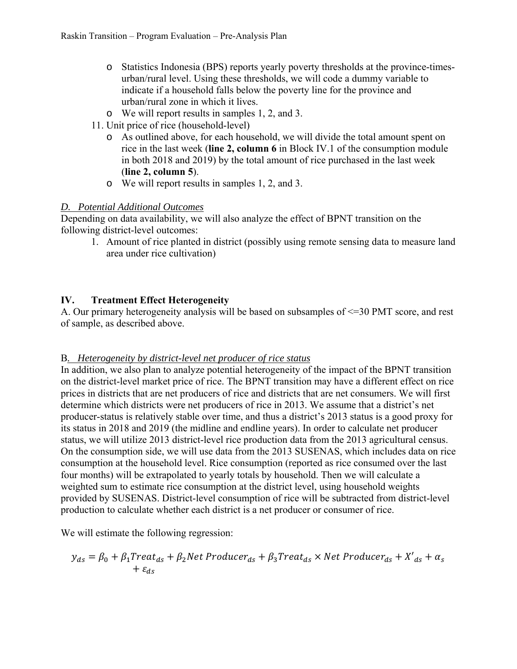- o Statistics Indonesia (BPS) reports yearly poverty thresholds at the province-timesurban/rural level. Using these thresholds, we will code a dummy variable to indicate if a household falls below the poverty line for the province and urban/rural zone in which it lives.
- o We will report results in samples 1, 2, and 3.
- 11. Unit price of rice (household-level)
	- o As outlined above, for each household, we will divide the total amount spent on rice in the last week (**line 2, column 6** in Block IV.1 of the consumption module in both 2018 and 2019) by the total amount of rice purchased in the last week (**line 2, column 5**).
	- o We will report results in samples 1, 2, and 3.

### *D. Potential Additional Outcomes*

Depending on data availability, we will also analyze the effect of BPNT transition on the following district-level outcomes:

1. Amount of rice planted in district (possibly using remote sensing data to measure land area under rice cultivation)

# **IV. Treatment Effect Heterogeneity**

A. Our primary heterogeneity analysis will be based on subsamples of <=30 PMT score, and rest of sample, as described above.

#### B*. Heterogeneity by district-level net producer of rice status*

In addition, we also plan to analyze potential heterogeneity of the impact of the BPNT transition on the district-level market price of rice. The BPNT transition may have a different effect on rice prices in districts that are net producers of rice and districts that are net consumers. We will first determine which districts were net producers of rice in 2013. We assume that a district's net producer-status is relatively stable over time, and thus a district's 2013 status is a good proxy for its status in 2018 and 2019 (the midline and endline years). In order to calculate net producer status, we will utilize 2013 district-level rice production data from the 2013 agricultural census. On the consumption side, we will use data from the 2013 SUSENAS, which includes data on rice consumption at the household level. Rice consumption (reported as rice consumed over the last four months) will be extrapolated to yearly totals by household. Then we will calculate a weighted sum to estimate rice consumption at the district level, using household weights provided by SUSENAS. District-level consumption of rice will be subtracted from district-level production to calculate whether each district is a net producer or consumer of rice.

We will estimate the following regression:

$$
y_{ds} = \beta_0 + \beta_1 Treat_{ds} + \beta_2 Net \ Product_{ds} + \beta_3 Treat_{ds} \times Net \ Product_{ds} + X'_{ds} + \alpha_s
$$
  
+  $\varepsilon_{ds}$